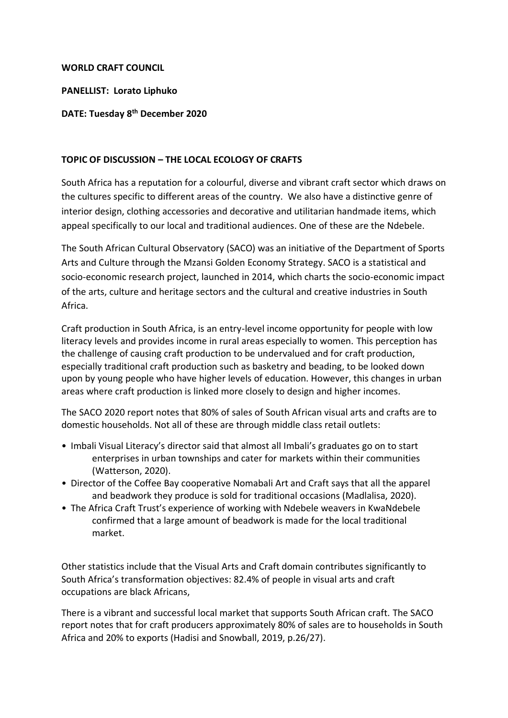## **WORLD CRAFT COUNCIL**

**PANELLIST: Lorato Liphuko**

## **DATE: Tuesday 8th December 2020**

## **TOPIC OF DISCUSSION – THE LOCAL ECOLOGY OF CRAFTS**

South Africa has a reputation for a colourful, diverse and vibrant craft sector which draws on the cultures specific to different areas of the country. We also have a distinctive genre of interior design, clothing accessories and decorative and utilitarian handmade items, which appeal specifically to our local and traditional audiences. One of these are the Ndebele.

The South African Cultural Observatory (SACO) was an initiative of the Department of Sports Arts and Culture through the Mzansi Golden Economy Strategy. SACO is a statistical and socio-economic research project, launched in 2014, which charts the socio-economic impact of the arts, culture and heritage sectors and the cultural and creative industries in South Africa.

Craft production in South Africa, is an entry-level income opportunity for people with low literacy levels and provides income in rural areas especially to women. This perception has the challenge of causing craft production to be undervalued and for craft production, especially traditional craft production such as basketry and beading, to be looked down upon by young people who have higher levels of education. However, this changes in urban areas where craft production is linked more closely to design and higher incomes.

The SACO 2020 report notes that 80% of sales of South African visual arts and crafts are to domestic households. Not all of these are through middle class retail outlets:

- Imbali Visual Literacy's director said that almost all Imbali's graduates go on to start enterprises in urban townships and cater for markets within their communities (Watterson, 2020).
- Director of the Coffee Bay cooperative Nomabali Art and Craft says that all the apparel and beadwork they produce is sold for traditional occasions (Madlalisa, 2020).
- The Africa Craft Trust's experience of working with Ndebele weavers in KwaNdebele confirmed that a large amount of beadwork is made for the local traditional market.

Other statistics include that the Visual Arts and Craft domain contributes significantly to South Africa's transformation objectives: 82.4% of people in visual arts and craft occupations are black Africans,

There is a vibrant and successful local market that supports South African craft. The SACO report notes that for craft producers approximately 80% of sales are to households in South Africa and 20% to exports (Hadisi and Snowball, 2019, p.26/27).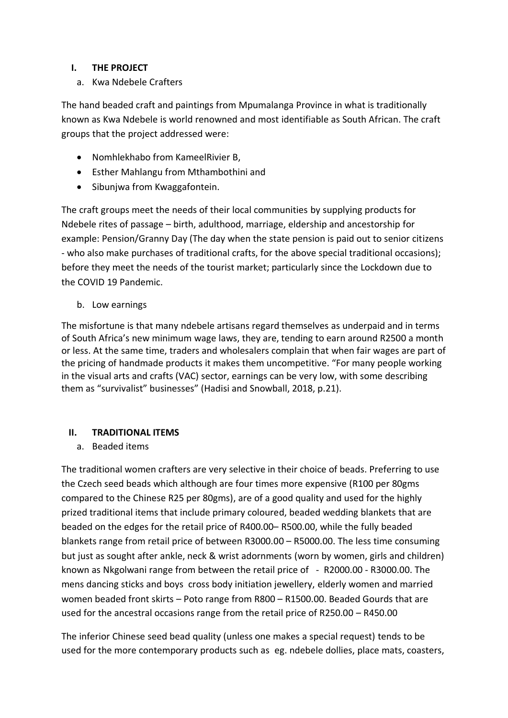# **I. THE PROJECT**

a. Kwa Ndebele Crafters

The hand beaded craft and paintings from Mpumalanga Province in what is traditionally known as Kwa Ndebele is world renowned and most identifiable as South African. The craft groups that the project addressed were:

- Nomhlekhabo from KameelRivier B,
- Esther Mahlangu from Mthambothini and
- Sibunjwa from Kwaggafontein.

The craft groups meet the needs of their local communities by supplying products for Ndebele rites of passage – birth, adulthood, marriage, eldership and ancestorship for example: Pension/Granny Day (The day when the state pension is paid out to senior citizens - who also make purchases of traditional crafts, for the above special traditional occasions); before they meet the needs of the tourist market; particularly since the Lockdown due to the COVID 19 Pandemic.

b. Low earnings

The misfortune is that many ndebele artisans regard themselves as underpaid and in terms of South Africa's new minimum wage laws, they are, tending to earn around R2500 a month or less. At the same time, traders and wholesalers complain that when fair wages are part of the pricing of handmade products it makes them uncompetitive. "For many people working in the visual arts and crafts (VAC) sector, earnings can be very low, with some describing them as "survivalist" businesses" (Hadisi and Snowball, 2018, p.21).

# **II. TRADITIONAL ITEMS**

a. Beaded items

The traditional women crafters are very selective in their choice of beads. Preferring to use the Czech seed beads which although are four times more expensive (R100 per 80gms compared to the Chinese R25 per 80gms), are of a good quality and used for the highly prized traditional items that include primary coloured, beaded wedding blankets that are beaded on the edges for the retail price of R400.00– R500.00, while the fully beaded blankets range from retail price of between R3000.00 – R5000.00. The less time consuming but just as sought after ankle, neck & wrist adornments (worn by women, girls and children) known as Nkgolwani range from between the retail price of - R2000.00 - R3000.00. The mens dancing sticks and boys cross body initiation jewellery, elderly women and married women beaded front skirts – Poto range from R800 – R1500.00. Beaded Gourds that are used for the ancestral occasions range from the retail price of R250.00 – R450.00

The inferior Chinese seed bead quality (unless one makes a special request) tends to be used for the more contemporary products such as eg. ndebele dollies, place mats, coasters,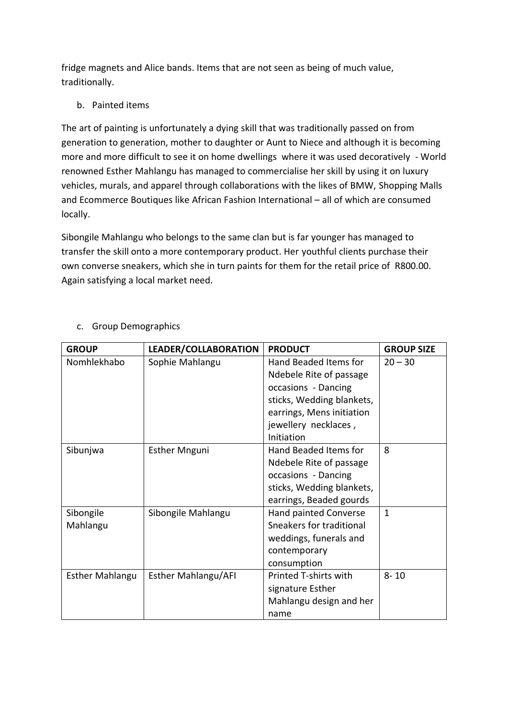fridge magnets and Alice bands. Items that are not seen as being of much value, traditionally.

b. Painted items

The art of painting is unfortunately a dying skill that was traditionally passed on from generation to generation, mother to daughter or Aunt to Niece and although it is becoming more and more difficult to see it on home dwellings where it was used decoratively - World renowned Esther Mahlangu has managed to commercialise her skill by using it on luxury vehicles, murals, and apparel through collaborations with the likes of BMW, Shopping Malls and Ecommerce Boutiques like African Fashion International – all of which are consumed locally.

Sibongile Mahlangu who belongs to the same clan but is far younger has managed to transfer the skill onto a more contemporary product. Her youthful clients purchase their own converse sneakers, which she in turn paints for them for the retail price of R800.00. Again satisfying a local market need.

| <b>GROUP</b>           | LEADER/COLLABORATION       | <b>PRODUCT</b>            | <b>GROUP SIZE</b> |
|------------------------|----------------------------|---------------------------|-------------------|
| Nomhlekhabo            | Sophie Mahlangu            | Hand Beaded Items for     | $20 - 30$         |
|                        |                            | Ndebele Rite of passage   |                   |
|                        |                            | occasions - Dancing       |                   |
|                        |                            | sticks, Wedding blankets, |                   |
|                        |                            | earrings, Mens initiation |                   |
|                        |                            | jewellery necklaces,      |                   |
|                        |                            | Initiation                |                   |
| Sibunjwa               | <b>Esther Mnguni</b>       | Hand Beaded Items for     | 8                 |
|                        |                            | Ndebele Rite of passage   |                   |
|                        |                            | occasions - Dancing       |                   |
|                        |                            | sticks, Wedding blankets, |                   |
|                        |                            | earrings, Beaded gourds   |                   |
| Sibongile              | Sibongile Mahlangu         | Hand painted Converse     | $\mathbf{1}$      |
| Mahlangu               |                            | Sneakers for traditional  |                   |
|                        |                            | weddings, funerals and    |                   |
|                        |                            | contemporary              |                   |
|                        |                            | consumption               |                   |
| <b>Esther Mahlangu</b> | <b>Esther Mahlangu/AFI</b> | Printed T-shirts with     | $8 - 10$          |
|                        |                            | signature Esther          |                   |
|                        |                            | Mahlangu design and her   |                   |
|                        |                            | name                      |                   |

# c. Group Demographics